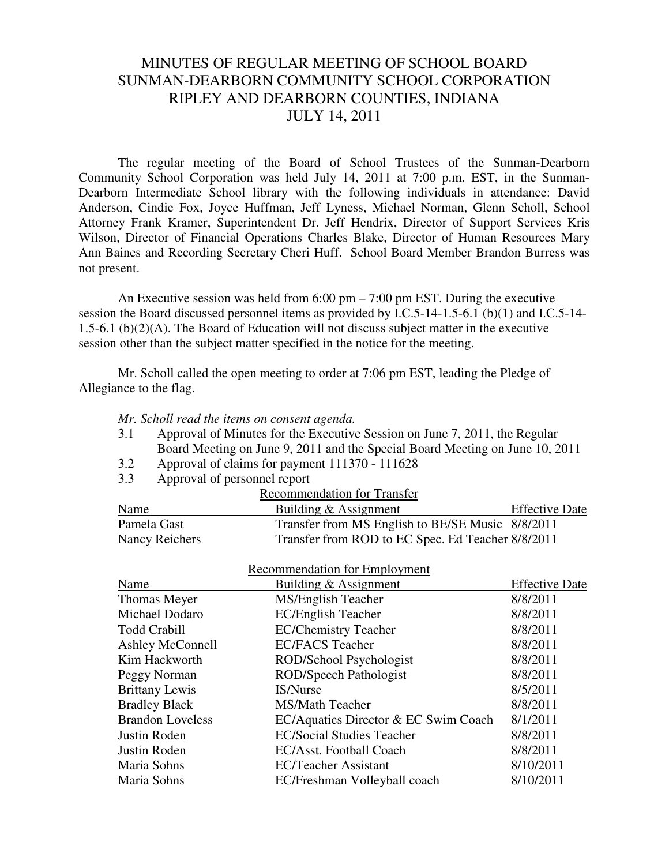## MINUTES OF REGULAR MEETING OF SCHOOL BOARD SUNMAN-DEARBORN COMMUNITY SCHOOL CORPORATION RIPLEY AND DEARBORN COUNTIES, INDIANA JULY 14, 2011

 The regular meeting of the Board of School Trustees of the Sunman-Dearborn Community School Corporation was held July 14, 2011 at 7:00 p.m. EST, in the Sunman-Dearborn Intermediate School library with the following individuals in attendance: David Anderson, Cindie Fox, Joyce Huffman, Jeff Lyness, Michael Norman, Glenn Scholl, School Attorney Frank Kramer, Superintendent Dr. Jeff Hendrix, Director of Support Services Kris Wilson, Director of Financial Operations Charles Blake, Director of Human Resources Mary Ann Baines and Recording Secretary Cheri Huff. School Board Member Brandon Burress was not present.

An Executive session was held from 6:00 pm – 7:00 pm EST. During the executive session the Board discussed personnel items as provided by I.C.5-14-1.5-6.1 (b)(1) and I.C.5-14- 1.5-6.1 (b)(2)(A). The Board of Education will not discuss subject matter in the executive session other than the subject matter specified in the notice for the meeting.

 Mr. Scholl called the open meeting to order at 7:06 pm EST, leading the Pledge of Allegiance to the flag.

- *Mr. Scholl read the items on consent agenda.*
- 3.1 Approval of Minutes for the Executive Session on June 7, 2011, the Regular Board Meeting on June 9, 2011 and the Special Board Meeting on June 10, 2011
- 3.2 Approval of claims for payment 111370 111628
- 3.3 Approval of personnel report

| <b>Recommendation for Transfer</b> |                                                   |                       |  |  |
|------------------------------------|---------------------------------------------------|-----------------------|--|--|
| Name                               | Building & Assignment                             | <b>Effective Date</b> |  |  |
| Pamela Gast                        | Transfer from MS English to BE/SE Music 8/8/2011  |                       |  |  |
| Nancy Reichers                     | Transfer from ROD to EC Spec. Ed Teacher 8/8/2011 |                       |  |  |

|                         | Recommendation for Employment        |                       |
|-------------------------|--------------------------------------|-----------------------|
| Name                    | Building & Assignment                | <b>Effective Date</b> |
| Thomas Meyer            | MS/English Teacher                   | 8/8/2011              |
| Michael Dodaro          | <b>EC/English Teacher</b>            | 8/8/2011              |
| <b>Todd Crabill</b>     | <b>EC/Chemistry Teacher</b>          | 8/8/2011              |
| <b>Ashley McConnell</b> | <b>EC/FACS Teacher</b>               | 8/8/2011              |
| Kim Hackworth           | ROD/School Psychologist              | 8/8/2011              |
| Peggy Norman            | ROD/Speech Pathologist               | 8/8/2011              |
| <b>Brittany Lewis</b>   | IS/Nurse                             | 8/5/2011              |
| <b>Bradley Black</b>    | <b>MS/Math Teacher</b>               | 8/8/2011              |
| <b>Brandon Loveless</b> | EC/Aquatics Director & EC Swim Coach | 8/1/2011              |
| Justin Roden            | <b>EC/Social Studies Teacher</b>     | 8/8/2011              |
| Justin Roden            | EC/Asst. Football Coach              | 8/8/2011              |
| Maria Sohns             | <b>EC/Teacher Assistant</b>          | 8/10/2011             |
| Maria Sohns             | EC/Freshman Volleyball coach         | 8/10/2011             |
|                         |                                      |                       |

## Recommendation for Employ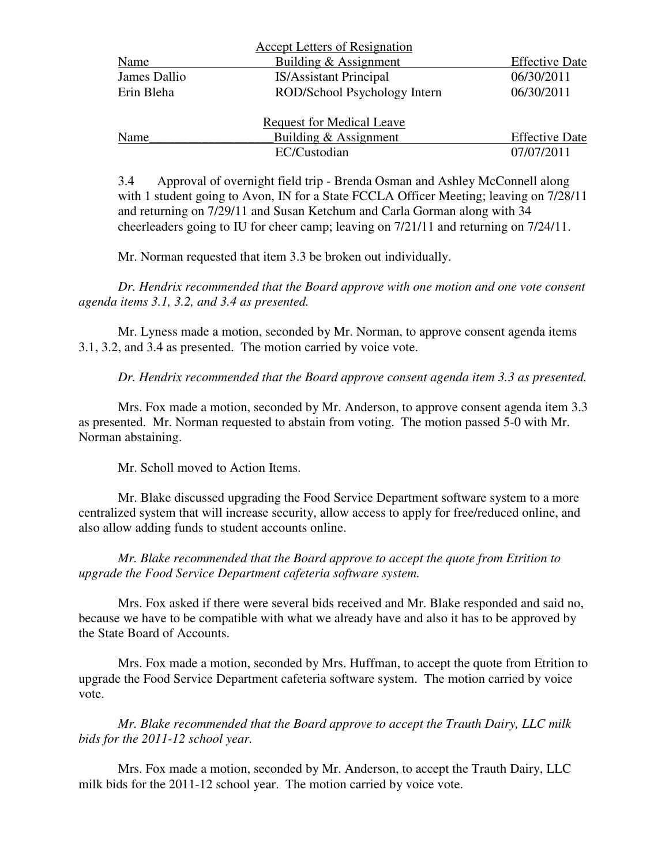|              | <b>Accept Letters of Resignation</b> |                       |
|--------------|--------------------------------------|-----------------------|
| Name         | Building & Assignment                | <b>Effective Date</b> |
| James Dallio | <b>IS/Assistant Principal</b>        | 06/30/2011            |
| Erin Bleha   | ROD/School Psychology Intern         | 06/30/2011            |
|              | <b>Request for Medical Leave</b>     |                       |
| Name         | Building & Assignment                | <b>Effective Date</b> |
|              | EC/Custodian                         | 07/07/2011            |

3.4 Approval of overnight field trip - Brenda Osman and Ashley McConnell along with 1 student going to Avon, IN for a State FCCLA Officer Meeting; leaving on 7/28/11 and returning on 7/29/11 and Susan Ketchum and Carla Gorman along with 34 cheerleaders going to IU for cheer camp; leaving on 7/21/11 and returning on 7/24/11.

Mr. Norman requested that item 3.3 be broken out individually.

*Dr. Hendrix recommended that the Board approve with one motion and one vote consent agenda items 3.1, 3.2, and 3.4 as presented.* 

Mr. Lyness made a motion, seconded by Mr. Norman, to approve consent agenda items 3.1, 3.2, and 3.4 as presented. The motion carried by voice vote.

*Dr. Hendrix recommended that the Board approve consent agenda item 3.3 as presented.* 

Mrs. Fox made a motion, seconded by Mr. Anderson, to approve consent agenda item 3.3 as presented. Mr. Norman requested to abstain from voting. The motion passed 5-0 with Mr. Norman abstaining.

Mr. Scholl moved to Action Items.

Mr. Blake discussed upgrading the Food Service Department software system to a more centralized system that will increase security, allow access to apply for free/reduced online, and also allow adding funds to student accounts online.

*Mr. Blake recommended that the Board approve to accept the quote from Etrition to upgrade the Food Service Department cafeteria software system.* 

 Mrs. Fox asked if there were several bids received and Mr. Blake responded and said no, because we have to be compatible with what we already have and also it has to be approved by the State Board of Accounts.

Mrs. Fox made a motion, seconded by Mrs. Huffman, to accept the quote from Etrition to upgrade the Food Service Department cafeteria software system. The motion carried by voice vote.

 *Mr. Blake recommended that the Board approve to accept the Trauth Dairy, LLC milk bids for the 2011-12 school year.* 

Mrs. Fox made a motion, seconded by Mr. Anderson, to accept the Trauth Dairy, LLC milk bids for the 2011-12 school year. The motion carried by voice vote.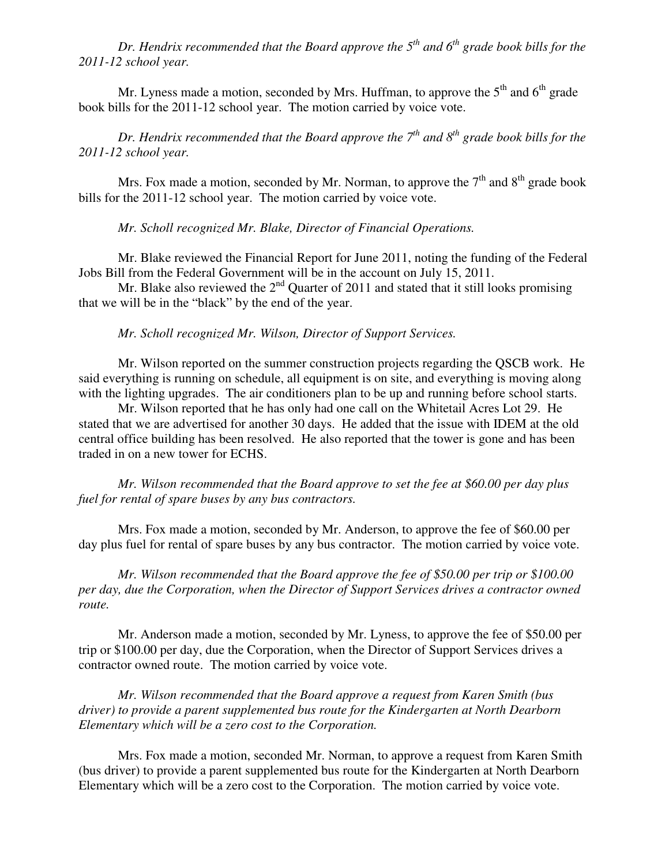*Dr. Hendrix recommended that the Board approve the 5 th and 6th grade book bills for the 2011-12 school year.* 

Mr. Lyness made a motion, seconded by Mrs. Huffman, to approve the  $5<sup>th</sup>$  and  $6<sup>th</sup>$  grade book bills for the 2011-12 school year. The motion carried by voice vote.

*Dr. Hendrix recommended that the Board approve the 7 th and 8th grade book bills for the 2011-12 school year.* 

Mrs. Fox made a motion, seconded by Mr. Norman, to approve the  $7<sup>th</sup>$  and  $8<sup>th</sup>$  grade book bills for the 2011-12 school year. The motion carried by voice vote.

*Mr. Scholl recognized Mr. Blake, Director of Financial Operations.* 

Mr. Blake reviewed the Financial Report for June 2011, noting the funding of the Federal Jobs Bill from the Federal Government will be in the account on July 15, 2011.

Mr. Blake also reviewed the  $2<sup>nd</sup>$  Quarter of 2011 and stated that it still looks promising that we will be in the "black" by the end of the year.

*Mr. Scholl recognized Mr. Wilson, Director of Support Services.* 

Mr. Wilson reported on the summer construction projects regarding the QSCB work. He said everything is running on schedule, all equipment is on site, and everything is moving along with the lighting upgrades. The air conditioners plan to be up and running before school starts.

Mr. Wilson reported that he has only had one call on the Whitetail Acres Lot 29. He stated that we are advertised for another 30 days. He added that the issue with IDEM at the old central office building has been resolved. He also reported that the tower is gone and has been traded in on a new tower for ECHS.

*Mr. Wilson recommended that the Board approve to set the fee at \$60.00 per day plus fuel for rental of spare buses by any bus contractors.* 

Mrs. Fox made a motion, seconded by Mr. Anderson, to approve the fee of \$60.00 per day plus fuel for rental of spare buses by any bus contractor. The motion carried by voice vote.

*Mr. Wilson recommended that the Board approve the fee of \$50.00 per trip or \$100.00 per day, due the Corporation, when the Director of Support Services drives a contractor owned route.* 

Mr. Anderson made a motion, seconded by Mr. Lyness, to approve the fee of \$50.00 per trip or \$100.00 per day, due the Corporation, when the Director of Support Services drives a contractor owned route. The motion carried by voice vote.

*Mr. Wilson recommended that the Board approve a request from Karen Smith (bus driver) to provide a parent supplemented bus route for the Kindergarten at North Dearborn Elementary which will be a zero cost to the Corporation.* 

Mrs. Fox made a motion, seconded Mr. Norman, to approve a request from Karen Smith (bus driver) to provide a parent supplemented bus route for the Kindergarten at North Dearborn Elementary which will be a zero cost to the Corporation. The motion carried by voice vote.